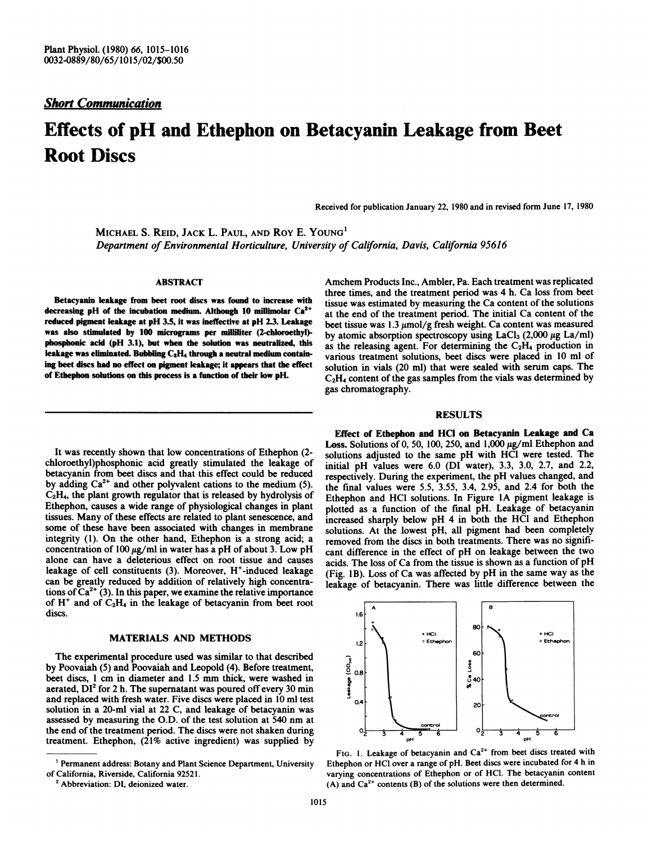## Short Communication

# Effects of pH and Ethephon on Betacyanin Leakage from Beet Root Discs

Received for publication January 22, 1980 and in revised form June 17, 1980

MICHAEL S. REID, JACK L. PAUL, AND ROY E. YOUNG<sup>1</sup> Department of Environmental Horticulture, University of California, Davis, California 95616

## ABSTRACT

Betacyanin leakage from beet root discs was found to increase with decreasing pH of the incubation medium. Although 10 millimolar  $Ca<sup>2+</sup>$ reduced pigment leakage at pH 3.5, it was ineffective at pH 2.3. Leakage was also stimulated by 100 micrograms per milliliter (2-chloroethyl)phosphonic acid (pH 3.1), but when the solution was neutralized, this leakage was eliminated. Bubbling  $C_2H_4$  through a neutral medium containing beet discs had no effect on pigment leakage, it appears that the effect of Ethephon solutions on this process is a function of their low pH.

It was recently shown that low concentrations of Ethephon (2 chloroethyl)phosphonic acid greatly stimulated the leakage of betacyanin from beet discs and that this effect could be reduced by adding  $Ca^{2+}$  and other polyvalent cations to the medium (5).  $C<sub>2</sub>H<sub>4</sub>$ , the plant growth regulator that is released by hydrolysis of Ethephon, causes a wide range of physiological changes in plant tissues. Many of these effects are related to plant senescence, and some of these have been associated with changes in membrane integrity (1). On the other hand, Ethephon is a strong acid; a concentration of 100  $\mu$ g/ml in water has a pH of about 3. Low pH alone can have a deleterious effect on root tissue and causes leakage of cell constituents  $(3)$ . Moreover, H<sup>+</sup>-induced leakage can be greatly reduced by addition of relatively high concentrations of  $Ca^{2+}(3)$ . In this paper, we examine the relative importance of  $H^+$  and of  $C_2H_4$  in the leakage of betacyanin from beet root discs.

## MATERIALS AND METHODS

The experimental procedure used was similar to that described by Poovaiah (5) and Poovaiah and Leopold (4). Before treatment, beet discs, <sup>1</sup> cm in diameter and 1.5 mm thick, were washed in aerated,  $DI^2$  for 2 h. The supernatant was poured off every 30 min and replaced with fresh water. Five discs were placed in 10 ml test solution in a 20-ml vial at 22 C, and leakage of betacyanin was assessed by measuring the O.D. of the test solution at 540 nm at the end of the treatment period. The discs were not shaken during treatment. Ethephon, (21% active ingredient) was supplied by

Amchem Products Inc., Ambler, Pa. Each treatment was replicated three times, and the treatment period was 4 h. Ca loss from beet tissue was estimated by measuring the Ca content of the solutions at the end of the treatment period. The initial Ca content of the beet tissue was  $1.3 \mu \text{mol/g}$  fresh weight. Ca content was measured by atomic absorption spectroscopy using  $LaCl<sub>3</sub>$  (2,000  $\mu$ g La/ml) as the releasing agent. For determining the  $C_2H_4$  production in various treatment solutions, beet discs were placed in 10 ml of solution in vials (20 ml) that were sealed with serum caps. The  $C_2H_4$  content of the gas samples from the vials was determined by gas chromatography.

#### RESULTS

Effect of Ethephon and HCI on Betacyanin Leakage and Ca Loss. Solutions of 0, 50, 100, 250, and  $1,000 \mu g/ml$  Ethephon and solutions adjusted to the same pH with HCl were tested. The initial pH values were 6.0 (DI water), 3.3, 3.0, 2.7, and 2.2, respectively. During the experiment, the pH values changed, and the final values were 5.5, 3.55, 3.4, 2.95, and 2.4 for both the Ethephon and HCI solutions. In Figure IA pigment leakage is plotted as a function of the final pH. Leakage of betacyanin increased sharply below pH 4 in both the HCI and Ethephon solutions. At the lowest pH, all pigment had been completely removed from the discs in both treatments. There was no significant difference in the effect of pH on leakage between the two acids. The loss of Ca from the tissue is shown as a function of pH (Fig. lB). Loss of Ca was affected by pH in the same way as the leakage of betacyanin. There was little difference between the



FIG. 1. Leakage of betacyanin and  $Ca^{2+}$  from beet discs treated with Ethephon or HCl over a range of pH. Beet discs were incubated for 4 h in varying concentrations of Ethephon or of HCI. The betacyanin content (A) and  $Ca^{2+}$  contents (B) of the solutions were then determined.

<sup>&#</sup>x27; Permanent address: Botany and Plant Science Department, University of California, Riverside, California 92521.

<sup>&</sup>lt;sup>2</sup> Abbreviation: DI, deionized water.